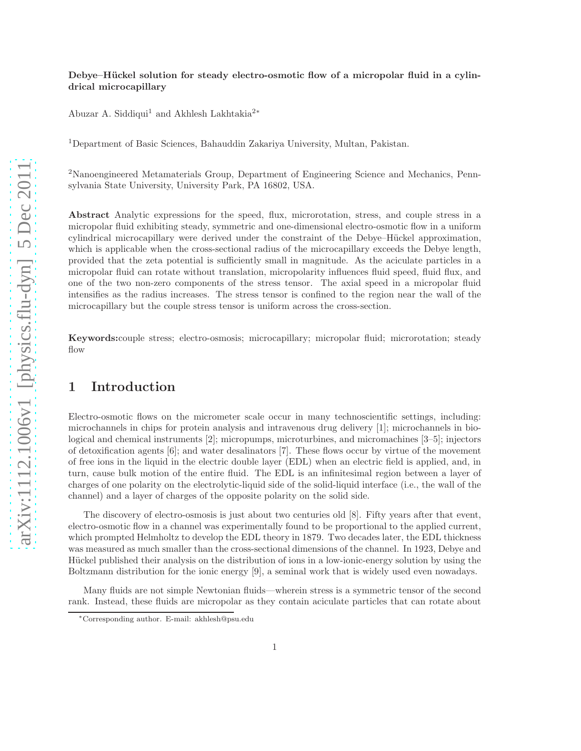#### Debye–Hückel solution for steady electro-osmotic flow of a micropolar fluid in a cylindrical microcapillary

Abuzar A. Siddiqui<sup>1</sup> and Akhlesh Lakhtakia<sup>2</sup><sup>∗</sup>

<sup>1</sup>Department of Basic Sciences, Bahauddin Zakariya University, Multan, Pakistan.

<sup>2</sup>Nanoengineered Metamaterials Group, Department of Engineering Science and Mechanics, Pennsylvania State University, University Park, PA 16802, USA.

Abstract Analytic expressions for the speed, flux, microrotation, stress, and couple stress in a micropolar fluid exhibiting steady, symmetric and one-dimensional electro-osmotic flow in a uniform cylindrical microcapillary were derived under the constraint of the Debye–Hückel approximation, which is applicable when the cross-sectional radius of the microcapillary exceeds the Debye length, provided that the zeta potential is sufficiently small in magnitude. As the aciculate particles in a micropolar fluid can rotate without translation, micropolarity influences fluid speed, fluid flux, and one of the two non-zero components of the stress tensor. The axial speed in a micropolar fluid intensifies as the radius increases. The stress tensor is confined to the region near the wall of the microcapillary but the couple stress tensor is uniform across the cross-section.

Keywords:couple stress; electro-osmosis; microcapillary; micropolar fluid; microrotation; steady flow

## 1 Introduction

Electro-osmotic flows on the micrometer scale occur in many technoscientific settings, including: microchannels in chips for protein analysis and intravenous drug delivery [1]; microchannels in biological and chemical instruments [2]; micropumps, microturbines, and micromachines [3–5]; injectors of detoxification agents [6]; and water desalinators [7]. These flows occur by virtue of the movement of free ions in the liquid in the electric double layer (EDL) when an electric field is applied, and, in turn, cause bulk motion of the entire fluid. The EDL is an infinitesimal region between a layer of charges of one polarity on the electrolytic-liquid side of the solid-liquid interface (i.e., the wall of the channel) and a layer of charges of the opposite polarity on the solid side.

The discovery of electro-osmosis is just about two centuries old [8]. Fifty years after that event, electro-osmotic flow in a channel was experimentally found to be proportional to the applied current, which prompted Helmholtz to develop the EDL theory in 1879. Two decades later, the EDL thickness was measured as much smaller than the cross-sectional dimensions of the channel. In 1923, Debye and Hückel published their analysis on the distribution of ions in a low-ionic-energy solution by using the Boltzmann distribution for the ionic energy [9], a seminal work that is widely used even nowadays.

Many fluids are not simple Newtonian fluids—wherein stress is a symmetric tensor of the second rank. Instead, these fluids are micropolar as they contain aciculate particles that can rotate about

<sup>∗</sup>Corresponding author. E-mail: akhlesh@psu.edu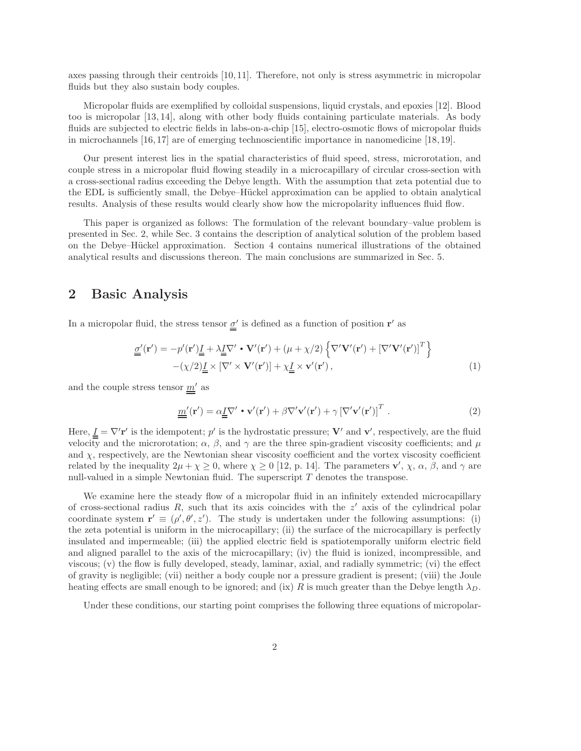axes passing through their centroids [10, 11]. Therefore, not only is stress asymmetric in micropolar fluids but they also sustain body couples.

Micropolar fluids are exemplified by colloidal suspensions, liquid crystals, and epoxies [12]. Blood too is micropolar [13, 14], along with other body fluids containing particulate materials. As body fluids are subjected to electric fields in labs-on-a-chip [15], electro-osmotic flows of micropolar fluids in microchannels [16, 17] are of emerging technoscientific importance in nanomedicine [18, 19].

Our present interest lies in the spatial characteristics of fluid speed, stress, microrotation, and couple stress in a micropolar fluid flowing steadily in a microcapillary of circular cross-section with a cross-sectional radius exceeding the Debye length. With the assumption that zeta potential due to the EDL is sufficiently small, the Debye–Hückel approximation can be applied to obtain analytical results. Analysis of these results would clearly show how the micropolarity influences fluid flow.

This paper is organized as follows: The formulation of the relevant boundary–value problem is presented in Sec. 2, while Sec. 3 contains the description of analytical solution of the problem based on the Debye–Hückel approximation. Section 4 contains numerical illustrations of the obtained analytical results and discussions thereon. The main conclusions are summarized in Sec. 5.

## 2 Basic Analysis

In a micropolar fluid, the stress tensor  $\underline{\sigma}'$  is defined as a function of position r' as

$$
\underline{\underline{\sigma}}'(\mathbf{r}') = -p'(\mathbf{r}') \underline{\underline{I}} + \lambda \underline{\underline{I}} \nabla' \cdot \mathbf{V}'(\mathbf{r}') + (\mu + \chi/2) \left\{ \nabla' \mathbf{V}'(\mathbf{r}') + \left[ \nabla' \mathbf{V}'(\mathbf{r}') \right]^T \right\} - (\chi/2) \underline{\underline{I}} \times \left[ \nabla' \times \mathbf{V}'(\mathbf{r}') \right] + \chi \underline{\underline{I}} \times \mathbf{v}'(\mathbf{r}'),
$$
(1)

and the couple stress tensor  $m'$  as

$$
\underline{m}'(\mathbf{r}') = \alpha \underline{I} \nabla' \cdot \mathbf{v}'(\mathbf{r}') + \beta \nabla' \mathbf{v}'(\mathbf{r}') + \gamma \left[ \nabla' \mathbf{v}'(\mathbf{r}') \right]^T . \tag{2}
$$

Here,  $\underline{I} = \nabla' \mathbf{r}'$  is the idempotent; p' is the hydrostatic pressure; V' and v', respectively, are the fluid velocity and the microrotation;  $\alpha$ ,  $\beta$ , and  $\gamma$  are the three spin-gradient viscosity coefficients; and  $\mu$ and  $\chi$ , respectively, are the Newtonian shear viscosity coefficient and the vortex viscosity coefficient related by the inequality  $2\mu + \chi \ge 0$ , where  $\chi \ge 0$  [12, p. 14]. The parameters  $\mathbf{v}'$ ,  $\chi$ ,  $\alpha$ ,  $\beta$ , and  $\gamma$  are null-valued in a simple Newtonian fluid. The superscript T denotes the transpose.

We examine here the steady flow of a micropolar fluid in an infinitely extended microcapillary of cross-sectional radius  $R$ , such that its axis coincides with the  $z'$  axis of the cylindrical polar coordinate system  $\mathbf{r}' \equiv (\rho', \theta', z')$ . The study is undertaken under the following assumptions: (i) the zeta potential is uniform in the microcapillary; (ii) the surface of the microcapillary is perfectly insulated and impermeable; (iii) the applied electric field is spatiotemporally uniform electric field and aligned parallel to the axis of the microcapillary; (iv) the fluid is ionized, incompressible, and viscous; (v) the flow is fully developed, steady, laminar, axial, and radially symmetric; (vi) the effect of gravity is negligible; (vii) neither a body couple nor a pressure gradient is present; (viii) the Joule heating effects are small enough to be ignored; and (ix) R is much greater than the Debye length  $\lambda_D$ .

Under these conditions, our starting point comprises the following three equations of micropolar-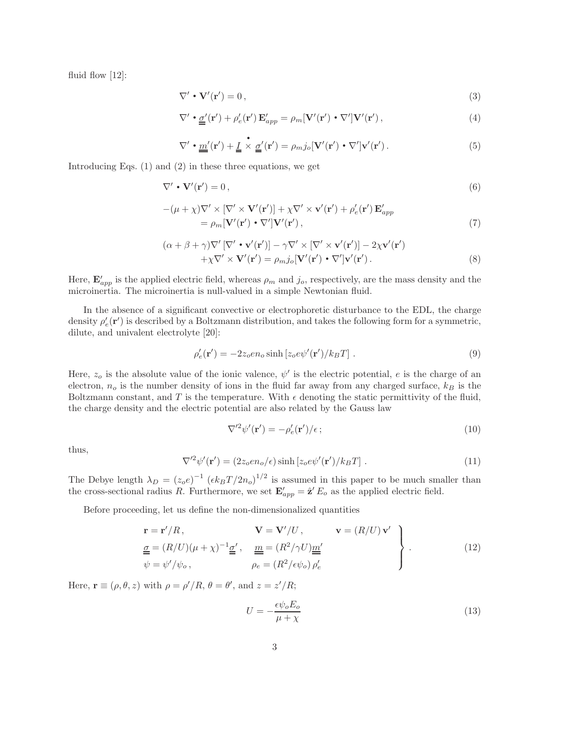fluid flow [12]:

$$
\nabla' \cdot \mathbf{V}'(\mathbf{r}') = 0, \tag{3}
$$

$$
\nabla' \cdot \underline{\underline{\sigma}}'(\mathbf{r}') + \rho'_e(\mathbf{r}') \mathbf{E}'_{app} = \rho_m [\mathbf{V}'(\mathbf{r}') \cdot \nabla'] \mathbf{V}'(\mathbf{r}'), \tag{4}
$$

$$
\nabla' \cdot \underline{\underline{m}}'(\mathbf{r}') + \underline{\underline{I}} \times \underline{\underline{\sigma}}'(\mathbf{r}') = \rho_{m} j_{o} [\mathbf{V}'(\mathbf{r}') \cdot \nabla'] \mathbf{v}'(\mathbf{r}'). \qquad (5)
$$

Introducing Eqs. (1) and (2) in these three equations, we get

$$
\nabla' \cdot \mathbf{V}'(\mathbf{r}') = 0, \qquad (6)
$$

$$
-(\mu + \chi)\nabla' \times [\nabla' \times \mathbf{V}'(\mathbf{r}')] + \chi \nabla' \times \mathbf{v}'(\mathbf{r}') + \rho'_e(\mathbf{r}') \mathbf{E}'_{app}
$$
  
=  $\rho_m[\mathbf{V}'(\mathbf{r}') \cdot \nabla']\mathbf{V}'(\mathbf{r}'),$  (7)

$$
(\alpha + \beta + \gamma)\nabla' [\nabla' \cdot \mathbf{v}'(\mathbf{r}')] - \gamma \nabla' \times [\nabla' \times \mathbf{v}'(\mathbf{r}')] - 2\chi \mathbf{v}'(\mathbf{r}')+ \chi \nabla' \times \mathbf{V}'(\mathbf{r}') = \rho_{m} j_{o} [\mathbf{V}'(\mathbf{r}') \cdot \nabla'] \mathbf{v}'(\mathbf{r}').
$$
\n(8)

Here,  $\mathbf{E}'_{app}$  is the applied electric field, whereas  $\rho_m$  and  $j_o$ , respectively, are the mass density and the microinertia. The microinertia is null-valued in a simple Newtonian fluid.

In the absence of a significant convective or electrophoretic disturbance to the EDL, the charge density  $\rho'_e(\mathbf{r}')$  is described by a Boltzmann distribution, and takes the following form for a symmetric, dilute, and univalent electrolyte [20]:

$$
\rho'_e(\mathbf{r}') = -2z_0 en_o \sinh [z_0 e \psi'(\mathbf{r}')/k_B T]. \tag{9}
$$

Here,  $z<sub>o</sub>$  is the absolute value of the ionic valence,  $\psi'$  is the electric potential, e is the charge of an electron,  $n_o$  is the number density of ions in the fluid far away from any charged surface,  $k_B$  is the Boltzmann constant, and T is the temperature. With  $\epsilon$  denoting the static permittivity of the fluid, the charge density and the electric potential are also related by the Gauss law

$$
\nabla'^2 \psi'(\mathbf{r}') = -\rho'_e(\mathbf{r}')/\epsilon \, ; \tag{10}
$$

thus,

$$
\nabla'^{2} \psi'(\mathbf{r}') = (2z_{o}en_{o}/\epsilon)\sinh[z_{o}e\psi'(\mathbf{r}')/k_{B}T] . \qquad (11)
$$

The Debye length  $\lambda_D = (z_0 e)^{-1} (6k_B T/2n_0)^{1/2}$  is assumed in this paper to be much smaller than the cross-sectional radius R. Furthermore, we set  $\mathbf{E}'_{app} = \hat{\mathbf{z}}' E_o$  as the applied electric field.

Before proceeding, let us define the non-dimensionalized quantities

$$
\mathbf{r} = \mathbf{r}'/R, \qquad \mathbf{V} = \mathbf{V}'/U, \qquad \mathbf{v} = (R/U)\mathbf{v}'
$$
\n
$$
\underline{\underline{\underline{\sigma}}} = (R/U)(\mu + \chi)^{-1}\underline{\underline{\underline{\sigma}}}', \qquad \underline{\underline{m}} = (R^2/\gamma U)\underline{\underline{m}'}
$$
\n
$$
\psi = \psi'/\psi_o, \qquad \rho_e = (R^2/\epsilon\psi_o)\rho'_e \qquad (12)
$$

Here,  $\mathbf{r} \equiv (\rho, \theta, z)$  with  $\rho = \rho'/R$ ,  $\theta = \theta'$ , and  $z = z'/R$ ;

$$
U = -\frac{\epsilon \psi_o E_o}{\mu + \chi} \tag{13}
$$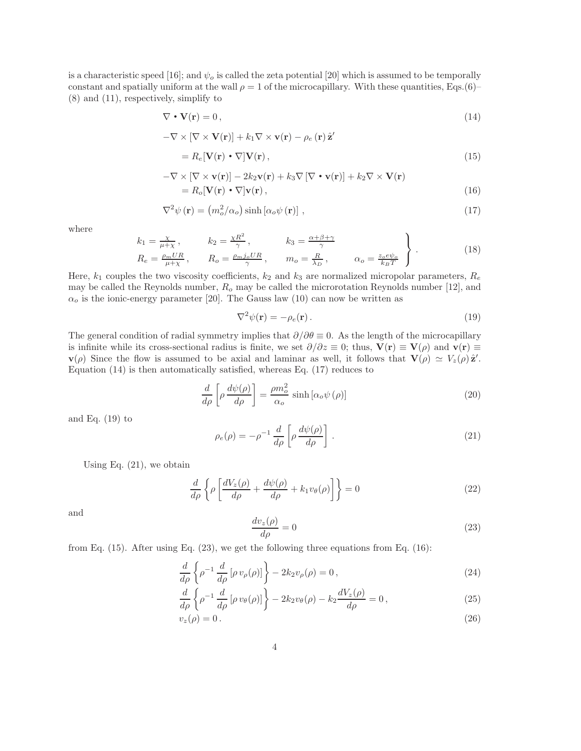is a characteristic speed [16]; and  $\psi_o$  is called the zeta potential [20] which is assumed to be temporally constant and spatially uniform at the wall  $\rho = 1$  of the microcapillary. With these quantities, Eqs.(6)– (8) and (11), respectively, simplify to

$$
\nabla \cdot \mathbf{V}(\mathbf{r}) = 0, \tag{14}
$$

$$
-\nabla \times \left[\nabla \times {\bf V}({\bf r})\right] + k_1 \nabla \times {\bf v}({\bf r}) - \rho_e\left({\bf r}\right) \hat{\bf z}'
$$

$$
=R_e[\mathbf{V}(\mathbf{r}) \cdot \nabla] \mathbf{V}(\mathbf{r}),\tag{15}
$$

$$
-\nabla \times [\nabla \times \mathbf{v}(\mathbf{r})] - 2k_2 \mathbf{v}(\mathbf{r}) + k_3 \nabla [\nabla \cdot \mathbf{v}(\mathbf{r})] + k_2 \nabla \times \mathbf{V}(\mathbf{r})
$$
  
=  $R_o[\mathbf{V}(\mathbf{r}) \cdot \nabla] \mathbf{v}(\mathbf{r}),$  (16)

$$
\nabla^2 \psi(\mathbf{r}) = (m_o^2/\alpha_o) \sinh\left[\alpha_o \psi(\mathbf{r})\right],\tag{17}
$$

where

$$
k_1 = \frac{\chi}{\mu + \chi}, \qquad k_2 = \frac{\chi R^2}{\gamma}, \qquad k_3 = \frac{\alpha + \beta + \gamma}{\gamma}
$$
  
\n
$$
R_e = \frac{\rho_m U R}{\mu + \chi}, \qquad R_o = \frac{\rho_m j_o U R}{\gamma}, \qquad m_o = \frac{R}{\lambda_D}, \qquad \alpha_o = \frac{z_o e \psi_o}{k_B T}
$$
\n(18)

Here,  $k_1$  couples the two viscosity coefficients,  $k_2$  and  $k_3$  are normalized micropolar parameters,  $R_e$ may be called the Reynolds number,  $R_o$  may be called the microrotation Reynolds number [12], and  $\alpha_o$  is the ionic-energy parameter [20]. The Gauss law (10) can now be written as

$$
\nabla^2 \psi(\mathbf{r}) = -\rho_e(\mathbf{r}).\tag{19}
$$

The general condition of radial symmetry implies that  $\partial/\partial\theta \equiv 0$ . As the length of the microcapillary is infinite while its cross-sectional radius is finite, we set  $\partial/\partial z \equiv 0$ ; thus,  $V(r) \equiv V(\rho)$  and  $v(r) \equiv$  $\mathbf{v}(\rho)$  Since the flow is assumed to be axial and laminar as well, it follows that  $\mathbf{V}(\rho) \simeq V_z(\rho) \hat{\mathbf{z}}'$ . Equation (14) is then automatically satisfied, whereas Eq. (17) reduces to

$$
\frac{d}{d\rho} \left[ \rho \frac{d\psi(\rho)}{d\rho} \right] = \frac{\rho m_o^2}{\alpha_o} \sinh\left[ \alpha_o \psi(\rho) \right] \tag{20}
$$

and Eq.  $(19)$  to

$$
\rho_e(\rho) = -\rho^{-1} \frac{d}{d\rho} \left[ \rho \frac{d\psi(\rho)}{d\rho} \right]. \tag{21}
$$

Using Eq. (21), we obtain

$$
\frac{d}{d\rho}\left\{\rho\left[\frac{dV_z(\rho)}{d\rho} + \frac{d\psi(\rho)}{d\rho} + k_1 v_\theta(\rho)\right]\right\} = 0\tag{22}
$$

and

$$
\frac{dv_z(\rho)}{d\rho} = 0\tag{23}
$$

from Eq. (15). After using Eq. (23), we get the following three equations from Eq. (16):

$$
\frac{d}{d\rho} \left\{ \rho^{-1} \frac{d}{d\rho} \left[ \rho v_{\rho}(\rho) \right] \right\} - 2k_2 v_{\rho}(\rho) = 0 ,\qquad (24)
$$

$$
\frac{d}{d\rho} \left\{ \rho^{-1} \frac{d}{d\rho} \left[ \rho v_{\theta}(\rho) \right] \right\} - 2k_2 v_{\theta}(\rho) - k_2 \frac{dV_z(\rho)}{d\rho} = 0, \qquad (25)
$$

$$
v_z(\rho) = 0. \tag{26}
$$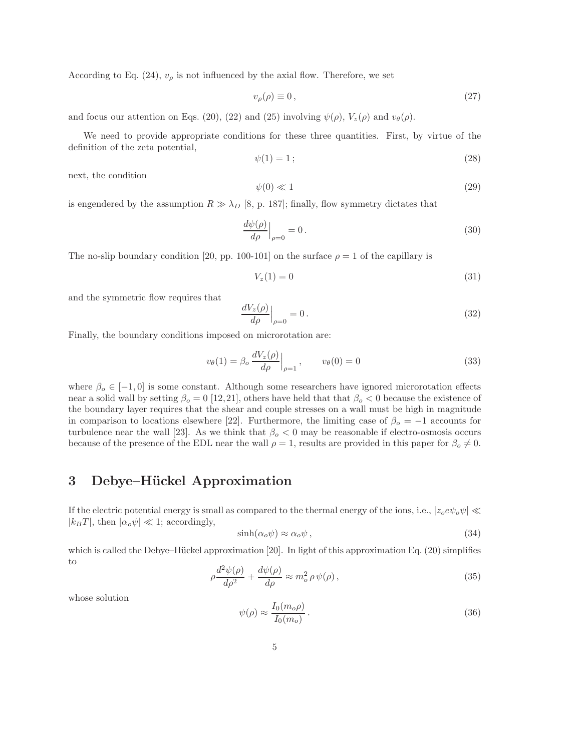According to Eq. (24),  $v_{\rho}$  is not influenced by the axial flow. Therefore, we set

$$
v_{\rho}(\rho) \equiv 0, \tag{27}
$$

and focus our attention on Eqs. (20), (22) and (25) involving  $\psi(\rho)$ ,  $V_z(\rho)$  and  $v_\theta(\rho)$ .

We need to provide appropriate conditions for these three quantities. First, by virtue of the definition of the zeta potential,

$$
\psi(1) = 1 \tag{28}
$$

next, the condition

$$
\psi(0) \ll 1\tag{29}
$$

is engendered by the assumption  $R \gg \lambda_D$  [8, p. 187]; finally, flow symmetry dictates that

$$
\left. \frac{d\psi(\rho)}{d\rho} \right|_{\rho=0} = 0. \tag{30}
$$

The no-slip boundary condition [20, pp. 100-101] on the surface  $\rho = 1$  of the capillary is

$$
V_z(1) = 0\tag{31}
$$

and the symmetric flow requires that

$$
\left. \frac{dV_z(\rho)}{d\rho} \right|_{\rho=0} = 0. \tag{32}
$$

Finally, the boundary conditions imposed on microrotation are:

$$
v_{\theta}(1) = \beta_o \left. \frac{dV_z(\rho)}{d\rho} \right|_{\rho=1}, \qquad v_{\theta}(0) = 0 \tag{33}
$$

where  $\beta_0 \in [-1, 0]$  is some constant. Although some researchers have ignored microrotation effects near a solid wall by setting  $\beta_o = 0$  [12,21], others have held that that  $\beta_o < 0$  because the existence of the boundary layer requires that the shear and couple stresses on a wall must be high in magnitude in comparison to locations elsewhere [22]. Furthermore, the limiting case of  $\beta_o = -1$  accounts for turbulence near the wall [23]. As we think that  $\beta_o < 0$  may be reasonable if electro-osmosis occurs because of the presence of the EDL near the wall  $\rho = 1$ , results are provided in this paper for  $\beta_o \neq 0$ .

## 3 Debye–Hückel Approximation

If the electric potential energy is small as compared to the thermal energy of the ions, i.e.,  $|z_oe\psi_o\psi| \ll$  $|k_BT|$ , then  $|\alpha_o\psi| \ll 1$ ; accordingly,

$$
\sinh(\alpha_o \psi) \approx \alpha_o \psi \,,\tag{34}
$$

which is called the Debye–Hückel approximation  $[20]$ . In light of this approximation Eq.  $(20)$  simplifies to

$$
\rho \frac{d^2 \psi(\rho)}{d\rho^2} + \frac{d\psi(\rho)}{d\rho} \approx m_o^2 \rho \psi(\rho) ,\qquad (35)
$$

whose solution

$$
\psi(\rho) \approx \frac{I_0(m_o \rho)}{I_0(m_o)}.
$$
\n(36)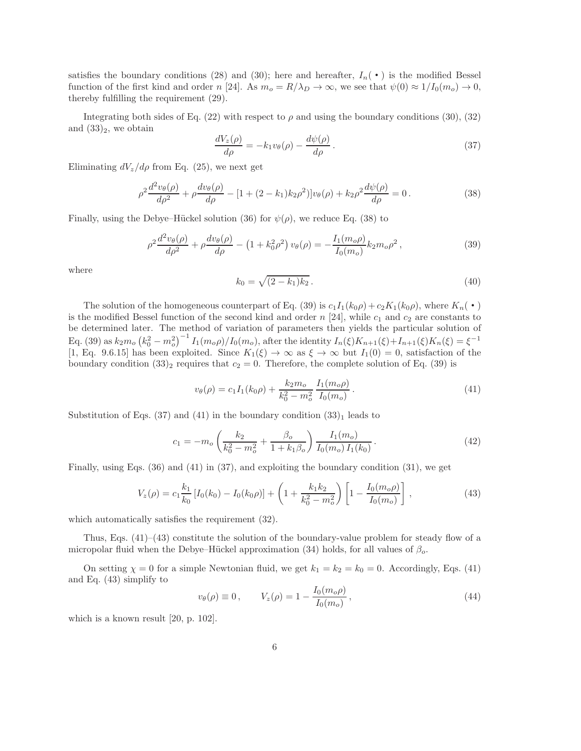satisfies the boundary conditions (28) and (30); here and hereafter,  $I_n(\cdot)$  is the modified Bessel function of the first kind and order n [24]. As  $m_o = R/\lambda_D \to \infty$ , we see that  $\psi(0) \approx 1/I_0(m_o) \to 0$ , thereby fulfilling the requirement (29).

Integrating both sides of Eq. (22) with respect to  $\rho$  and using the boundary conditions (30), (32) and  $(33)_2$ , we obtain

$$
\frac{dV_z(\rho)}{d\rho} = -k_1 v_\theta(\rho) - \frac{d\psi(\rho)}{d\rho}.
$$
\n(37)

Eliminating  $dV_z/d\rho$  from Eq. (25), we next get

$$
\rho^2 \frac{d^2 v_{\theta}(\rho)}{d\rho^2} + \rho \frac{dv_{\theta}(\rho)}{d\rho} - [1 + (2 - k_1)k_2 \rho^2] v_{\theta}(\rho) + k_2 \rho^2 \frac{d\psi(\rho)}{d\rho} = 0.
$$
\n(38)

Finally, using the Debye–Hückel solution (36) for  $\psi(\rho)$ , we reduce Eq. (38) to

$$
\rho^2 \frac{d^2 v_\theta(\rho)}{d\rho^2} + \rho \frac{dv_\theta(\rho)}{d\rho} - \left(1 + k_0^2 \rho^2\right) v_\theta(\rho) = -\frac{I_1(m_o \rho)}{I_0(m_o)} k_2 m_o \rho^2, \tag{39}
$$

where

$$
k_0 = \sqrt{(2 - k_1)k_2} \,. \tag{40}
$$

The solution of the homogeneous counterpart of Eq. (39) is  $c_1I_1(k_0\rho)+c_2K_1(k_0\rho)$ , where  $K_n(\cdot)$ is the modified Bessel function of the second kind and order n [24], while  $c_1$  and  $c_2$  are constants to be determined later. The method of variation of parameters then yields the particular solution of Eq. (39) as  $k_2 m_o (k_0^2 - m_o^2)^{-1} I_1(m_o \rho) / I_0(m_o)$ , after the identity  $I_n(\xi) K_{n+1}(\xi) + I_{n+1}(\xi) K_n(\xi) = \xi^{-1}$ [1, Eq. 9.6.15] has been exploited. Since  $K_1(\xi) \to \infty$  as  $\xi \to \infty$  but  $I_1(0) = 0$ , satisfaction of the boundary condition  $(33)_2$  requires that  $c_2 = 0$ . Therefore, the complete solution of Eq.  $(39)$  is

$$
v_{\theta}(\rho) = c_1 I_1(k_0 \rho) + \frac{k_2 m_o}{k_0^2 - m_o^2} \frac{I_1(m_o \rho)}{I_0(m_o)}.
$$
\n(41)

Substitution of Eqs. (37) and (41) in the boundary condition  $(33)<sub>1</sub>$  leads to

$$
c_1 = -m_o \left(\frac{k_2}{k_0^2 - m_o^2} + \frac{\beta_o}{1 + k_1 \beta_o}\right) \frac{I_1(m_o)}{I_0(m_o) I_1(k_0)}.
$$
\n(42)

Finally, using Eqs. (36) and (41) in (37), and exploiting the boundary condition (31), we get

$$
V_z(\rho) = c_1 \frac{k_1}{k_0} \left[ I_0(k_0) - I_0(k_0 \rho) \right] + \left( 1 + \frac{k_1 k_2}{k_0^2 - m_o^2} \right) \left[ 1 - \frac{I_0(m_o \rho)}{I_0(m_o)} \right],
$$
\n(43)

which automatically satisfies the requirement (32).

Thus, Eqs.  $(41)$ – $(43)$  constitute the solution of the boundary-value problem for steady flow of a micropolar fluid when the Debye–Hückel approximation (34) holds, for all values of  $\beta_o$ .

On setting  $\chi = 0$  for a simple Newtonian fluid, we get  $k_1 = k_2 = k_0 = 0$ . Accordingly, Eqs. (41) and Eq. (43) simplify to

$$
v_{\theta}(\rho) \equiv 0, \qquad V_z(\rho) = 1 - \frac{I_0(m_o \rho)}{I_0(m_o)}, \qquad (44)
$$

which is a known result [20, p. 102].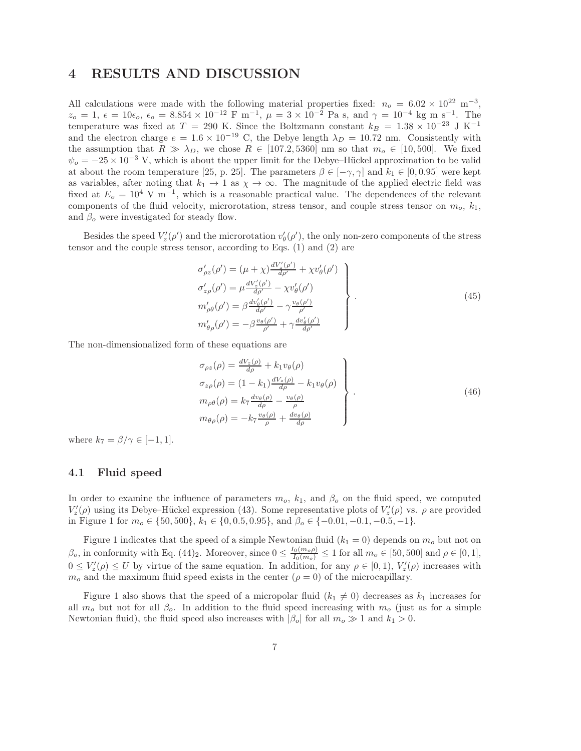## 4 RESULTS AND DISCUSSION

All calculations were made with the following material properties fixed:  $n_o = 6.02 \times 10^{22} \text{ m}^{-3}$ ,  $z_o = 1, \ \epsilon = 10\epsilon_o, \ \epsilon_o = 8.854 \times 10^{-12} \text{ F m}^{-1}, \ \mu = 3 \times 10^{-2} \text{ Pa s, and } \gamma = 10^{-4} \text{ kg m s}^{-1}.$  The temperature was fixed at T = 290 K. Since the Boltzmann constant  $k_B = 1.38 \times 10^{-23}$  J K<sup>-1</sup> and the electron charge  $e = 1.6 \times 10^{-19}$  C, the Debye length  $\lambda_D = 10.72$  nm. Consistently with the assumption that  $R \gg \lambda_D$ , we chose  $R \in [107.2, 5360]$  nm so that  $m_o \in [10, 500]$ . We fixed  $\psi_o = -25 \times 10^{-3}$  V, which is about the upper limit for the Debye–Hückel approximation to be valid at about the room temperature [25, p. 25]. The parameters  $\beta \in [-\gamma, \gamma]$  and  $k_1 \in [0, 0.95]$  were kept as variables, after noting that  $k_1 \to 1$  as  $\chi \to \infty$ . The magnitude of the applied electric field was fixed at  $E_o = 10^4$  V m<sup>-1</sup>, which is a reasonable practical value. The dependences of the relevant components of the fluid velocity, microrotation, stress tensor, and couple stress tensor on  $m_o$ ,  $k_1$ , and  $\beta_o$  were investigated for steady flow.

Besides the speed  $V'_z(\rho')$  and the microrotation  $v'_\theta$  $\theta'_{\theta}(\rho')$ , the only non-zero components of the stress tensor and the couple stress tensor, according to Eqs. (1) and (2) are

$$
\sigma'_{\rho z}(\rho') = (\mu + \chi) \frac{dV'_z(\rho')}{d\rho'} + \chi v'_{\theta}(\rho')
$$
\n
$$
\sigma'_{z\rho}(\rho') = \mu \frac{dV'_z(\rho')}{d\rho'} - \chi v'_{\theta}(\rho')
$$
\n
$$
m'_{\rho\theta}(\rho') = \beta \frac{dv'_{\theta}(\rho')}{d\rho'} - \gamma \frac{v_{\theta}(\rho')}{\rho'}
$$
\n
$$
m'_{\theta\rho}(\rho') = -\beta \frac{v_{\theta}(\rho')}{\rho'} + \gamma \frac{dv'_{\theta}(\rho')}{d\rho'}
$$
\n(45)

The non-dimensionalized form of these equations are

$$
\sigma_{\rho z}(\rho) = \frac{dV_z(\rho)}{d\rho} + k_1 v_\theta(\rho) \n\sigma_{z\rho}(\rho) = (1 - k_1) \frac{dV_z(\rho)}{d\rho} - k_1 v_\theta(\rho) \nm_{\rho\theta}(\rho) = k_7 \frac{d v_\theta(\rho)}{d\rho} - \frac{v_\theta(\rho)}{\rho} \nm_{\theta\rho}(\rho) = -k_7 \frac{v_\theta(\rho)}{\rho} + \frac{d v_\theta(\rho)}{d\rho}
$$
\n(46)

where  $k_7 = \beta/\gamma \in [-1, 1].$ 

#### 4.1 Fluid speed

In order to examine the influence of parameters  $m<sub>o</sub>$ ,  $k<sub>1</sub>$ , and  $\beta<sub>o</sub>$  on the fluid speed, we computed  $V'_z(\rho)$  using its Debye–Hückel expression (43). Some representative plots of  $V'_z(\rho)$  vs.  $\rho$  are provided in Figure 1 for  $m_0 \in \{50, 500\}$ ,  $k_1 \in \{0, 0.5, 0.95\}$ , and  $\beta_0 \in \{-0.01, -0.1, -0.5, -1\}$ .

Figure 1 indicates that the speed of a simple Newtonian fluid  $(k_1 = 0)$  depends on  $m_0$  but not on  $\beta_o$ , in conformity with Eq. (44)<sub>2</sub>. Moreover, since  $0 \leq \frac{I_0(m_o \rho)}{I_0(m_o)} \leq 1$  for all  $m_o \in [50, 500]$  and  $\rho \in [0, 1]$ ,<br> $0 \leq V(s) \leq U$  by with  $s$  of the game equation. In addition, for any  $s \in [0, 1]$ ,  $V'(s)$  incre  $0 \leq V'_z(\rho) \leq U$  by virtue of the same equation. In addition, for any  $\rho \in [0,1)$ ,  $V'_z(\rho)$  increases with  $m<sub>o</sub>$  and the maximum fluid speed exists in the center ( $\rho = 0$ ) of the microcapillary.

Figure 1 also shows that the speed of a micropolar fluid  $(k_1 \neq 0)$  decreases as  $k_1$  increases for all  $m<sub>o</sub>$  but not for all  $\beta<sub>o</sub>$ . In addition to the fluid speed increasing with  $m<sub>o</sub>$  (just as for a simple Newtonian fluid), the fluid speed also increases with  $|\beta_0|$  for all  $m_o \gg 1$  and  $k_1 > 0$ .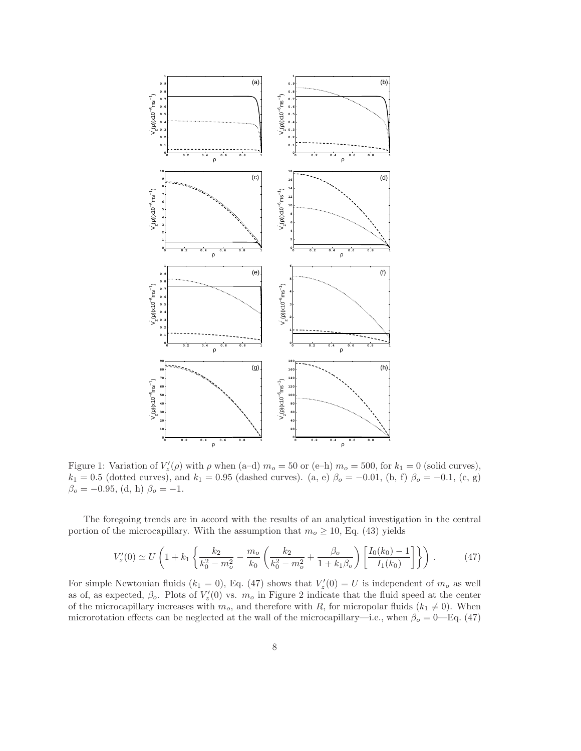

Figure 1: Variation of  $V'_z(\rho)$  with  $\rho$  when (a-d)  $m_o = 50$  or (e-h)  $m_o = 500$ , for  $k_1 = 0$  (solid curves),  $k_1 = 0.5$  (dotted curves), and  $k_1 = 0.95$  (dashed curves). (a, e)  $\beta_o = -0.01$ , (b, f)  $\beta_o = -0.1$ , (c, g)  $\beta_o = -0.95$ , (d, h)  $\beta_o = -1$ .

The foregoing trends are in accord with the results of an analytical investigation in the central portion of the microcapillary. With the assumption that  $m_o \ge 10$ , Eq. (43) yields

$$
V'_{z}(0) \simeq U\left(1 + k_1 \left\{\frac{k_2}{k_0^2 - m_o^2} - \frac{m_o}{k_0} \left(\frac{k_2}{k_0^2 - m_o^2} + \frac{\beta_o}{1 + k_1 \beta_o}\right) \left[\frac{I_0(k_0) - 1}{I_1(k_0)}\right]\right\}\right). \tag{47}
$$

For simple Newtonian fluids  $(k_1 = 0)$ , Eq. (47) shows that  $V'_z(0) = U$  is independent of  $m_o$  as well as of, as expected,  $\beta_o$ . Plots of  $V'_z(0)$  vs.  $m_o$  in Figure 2 indicate that the fluid speed at the center of the microcapillary increases with  $m<sub>o</sub>$ , and therefore with R, for micropolar fluids  $(k<sub>1</sub> \neq 0)$ . When microrotation effects can be neglected at the wall of the microcapillary—i.e., when  $\beta_o = 0$ —Eq. (47)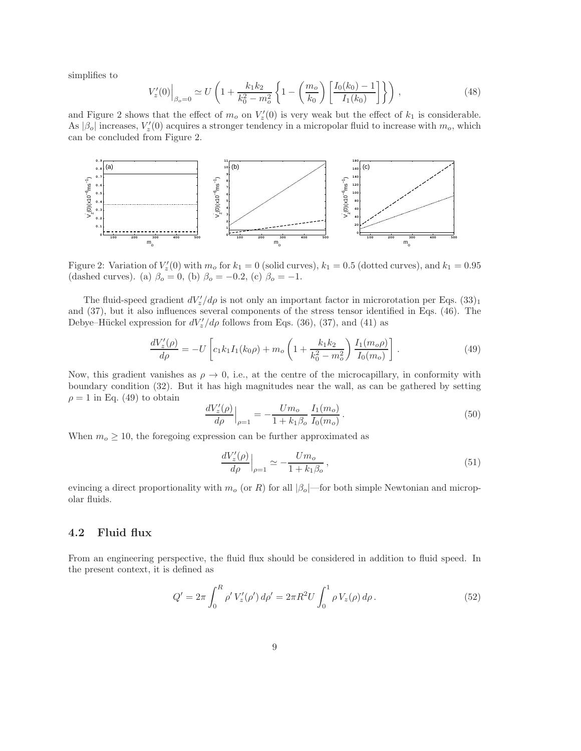simplifies to

$$
V'_{z}(0)\Big|_{\beta_{o}=0} \simeq U\left(1 + \frac{k_{1}k_{2}}{k_{0}^{2} - m_{o}^{2}} \left\{1 - \left(\frac{m_{o}}{k_{0}}\right) \left[\frac{I_{0}(k_{0}) - 1}{I_{1}(k_{0})}\right]\right\}\right),\tag{48}
$$

and Figure 2 shows that the effect of  $m_o$  on  $V'_z(0)$  is very weak but the effect of  $k_1$  is considerable. As  $|\beta_o|$  increases,  $V'_z(0)$  acquires a stronger tendency in a micropolar fluid to increase with  $m_o$ , which can be concluded from Figure 2.



Figure 2: Variation of  $V'_z(0)$  with  $m_o$  for  $k_1 = 0$  (solid curves),  $k_1 = 0.5$  (dotted curves), and  $k_1 = 0.95$ (dashed curves). (a)  $\beta_o = 0$ , (b)  $\beta_o = -0.2$ , (c)  $\beta_o = -1$ .

The fluid-speed gradient  $dV'_z/d\rho$  is not only an important factor in microrotation per Eqs.  $(33)_1$ and (37), but it also influences several components of the stress tensor identified in Eqs. (46). The Debye–Hückel expression for  $dV'_z/d\rho$  follows from Eqs. (36), (37), and (41) as

$$
\frac{dV_z'(\rho)}{d\rho} = -U \left[ c_1 k_1 I_1(k_0 \rho) + m_o \left( 1 + \frac{k_1 k_2}{k_0^2 - m_o^2} \right) \frac{I_1(m_o \rho)}{I_0(m_o)} \right].
$$
\n(49)

Now, this gradient vanishes as  $\rho \to 0$ , i.e., at the centre of the microcapillary, in conformity with boundary condition (32). But it has high magnitudes near the wall, as can be gathered by setting  $\rho = 1$  in Eq. (49) to obtain

$$
\left. \frac{dV_z'(\rho)}{d\rho} \right|_{\rho=1} = -\frac{Um_o}{1 + k_1 \beta_o} \frac{I_1(m_o)}{I_0(m_o)}.
$$
\n(50)

When  $m_o \ge 10$ , the foregoing expression can be further approximated as

$$
\left. \frac{dV'_z(\rho)}{d\rho} \right|_{\rho=1} \simeq -\frac{Um_o}{1+k_1\beta_o},\tag{51}
$$

evincing a direct proportionality with  $m<sub>o</sub>$  (or R) for all  $|\beta<sub>o</sub>|$ —for both simple Newtonian and micropolar fluids.

#### 4.2 Fluid flux

From an engineering perspective, the fluid flux should be considered in addition to fluid speed. In the present context, it is defined as

$$
Q' = 2\pi \int_0^R \rho' V'_z(\rho') d\rho' = 2\pi R^2 U \int_0^1 \rho V_z(\rho) d\rho.
$$
 (52)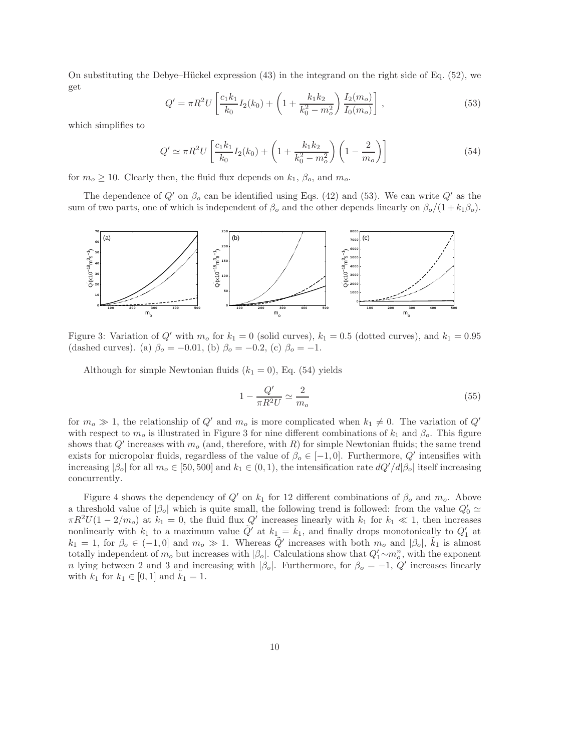On substituting the Debye–Hückel expression  $(43)$  in the integrand on the right side of Eq.  $(52)$ , we get

$$
Q' = \pi R^2 U \left[ \frac{c_1 k_1}{k_0} I_2(k_0) + \left( 1 + \frac{k_1 k_2}{k_0^2 - m_o^2} \right) \frac{I_2(m_o)}{I_0(m_o)} \right],
$$
\n(53)

which simplifies to

$$
Q' \simeq \pi R^2 U \left[ \frac{c_1 k_1}{k_0} I_2(k_0) + \left( 1 + \frac{k_1 k_2}{k_0^2 - m_o^2} \right) \left( 1 - \frac{2}{m_o} \right) \right]
$$
(54)

for  $m_o \geq 10$ . Clearly then, the fluid flux depends on  $k_1$ ,  $\beta_o$ , and  $m_o$ .

The dependence of  $Q'$  on  $\beta_o$  can be identified using Eqs. (42) and (53). We can write  $Q'$  as the sum of two parts, one of which is independent of  $\beta_o$  and the other depends linearly on  $\beta_o/(1 + k_1\beta_o)$ .



Figure 3: Variation of  $Q'$  with  $m<sub>o</sub>$  for  $k<sub>1</sub> = 0$  (solid curves),  $k<sub>1</sub> = 0.5$  (dotted curves), and  $k<sub>1</sub> = 0.95$ (dashed curves). (a)  $\beta_o = -0.01$ , (b)  $\beta_o = -0.2$ , (c)  $\beta_o = -1$ .

Although for simple Newtonian fluids  $(k_1 = 0)$ , Eq. (54) yields

$$
1 - \frac{Q'}{\pi R^2 U} \simeq \frac{2}{m_o} \tag{55}
$$

for  $m_o \gg 1$ , the relationship of Q' and  $m_o$  is more complicated when  $k_1 \neq 0$ . The variation of Q' with respect to  $m_o$  is illustrated in Figure 3 for nine different combinations of  $k_1$  and  $\beta_o$ . This figure shows that  $Q'$  increases with  $m_o$  (and, therefore, with R) for simple Newtonian fluids; the same trend exists for micropolar fluids, regardless of the value of  $\beta_0 \in [-1,0]$ . Furthermore, Q' intensifies with increasing  $|\beta_o|$  for all  $m_o \in [50, 500]$  and  $k_1 \in (0, 1)$ , the intensification rate  $dQ'/d|\beta_o|$  itself increasing concurrently.

Figure 4 shows the dependency of  $Q'$  on  $k_1$  for 12 different combinations of  $\beta_o$  and  $m_o$ . Above a threshold value of  $|\beta_o|$  which is quite small, the following trend is followed: from the value  $Q'_0 \simeq$  $\pi R^2 U(1-2/m_o)$  at  $k_1 = 0$ , the fluid flux  $Q'$  increases linearly with  $k_1$  for  $k_1 \ll 1$ , then increases nonlinearly with  $k_1$  to a maximum value  $\tilde{Q}'$  at  $k_1 = \tilde{k}_1$ , and finally drops monotonically to  $Q'_1$  at  $k_1 = 1$ , for  $\beta_o \in (-1, 0]$  and  $m_o \gg 1$ . Whereas  $\tilde{Q}'$  increases with both  $m_o$  and  $|\beta_o|$ ,  $\tilde{k_1}$  is almost totally independent of  $m_o$  but increases with  $|\beta_o|$ . Calculations show that  $Q'_1 \sim m_o^n$ , with the exponent n lying between 2 and 3 and increasing with  $|\beta_o|$ . Furthermore, for  $\beta_o = -1$ ,  $Q'$  increases linearly with  $k_1$  for  $k_1 \in [0, 1]$  and  $k_1 = 1$ .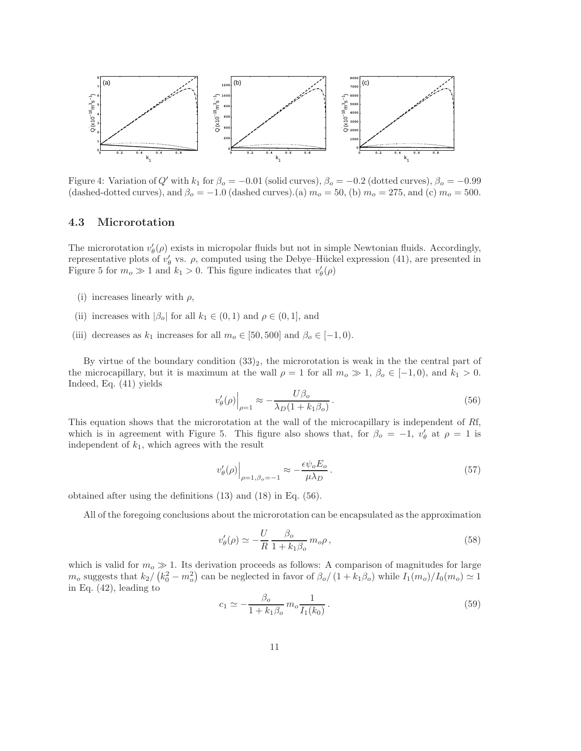

Figure 4: Variation of Q' with  $k_1$  for  $\beta_o = -0.01$  (solid curves),  $\beta_o = -0.2$  (dotted curves),  $\beta_o = -0.99$ (dashed-dotted curves), and  $\beta_o = -1.0$  (dashed curves).(a)  $m_o = 50$ , (b)  $m_o = 275$ , and (c)  $m_o = 500$ .

#### 4.3 Microrotation

The microrotation  $v'_{\theta}$  $\theta'_{\theta}(\rho)$  exists in micropolar fluids but not in simple Newtonian fluids. Accordingly, representative plots of  $v'_{\theta}$  $\theta_{\theta}$  vs.  $\rho$ , computed using the Debye–Hückel expression (41), are presented in Figure 5 for  $m_o \gg 1$  and  $k_1 > 0$ . This figure indicates that  $v'_i$  $'_\theta(\rho)$ 

- (i) increases linearly with  $\rho$ ,
- (ii) increases with  $|\beta_o|$  for all  $k_1 \in (0,1)$  and  $\rho \in (0,1]$ , and
- (iii) decreases as  $k_1$  increases for all  $m_o \in [50, 500]$  and  $\beta_o \in [-1, 0)$ .

By virtue of the boundary condition  $(33)_2$ , the microrotation is weak in the the central part of the microcapillary, but it is maximum at the wall  $\rho = 1$  for all  $m_o \gg 1$ ,  $\beta_o \in [-1, 0)$ , and  $k_1 > 0$ . Indeed, Eq. (41) yields

$$
v'_{\theta}(\rho)\Big|_{\rho=1} \approx -\frac{U\beta_o}{\lambda_D(1+k_1\beta_o)}\,. \tag{56}
$$

This equation shows that the microrotation at the wall of the microcapillary is independent of Rf, which is in agreement with Figure 5. This figure also shows that, for  $\beta_o = -1$ ,  $v'_i$  $'_{\theta}$  at  $\rho = 1$  is independent of  $k_1$ , which agrees with the result

$$
v'_{\theta}(\rho)\Big|_{\rho=1,\beta_o=-1} \approx -\frac{\epsilon \psi_o E_o}{\mu \lambda_D} \,. \tag{57}
$$

obtained after using the definitions (13) and (18) in Eq. (56).

All of the foregoing conclusions about the microrotation can be encapsulated as the approximation

$$
v'_{\theta}(\rho) \simeq -\frac{U}{R} \frac{\beta_o}{1 + k_1 \beta_o} m_o \rho \,, \tag{58}
$$

which is valid for  $m<sub>o</sub> \gg 1$ . Its derivation proceeds as follows: A comparison of magnitudes for large  $m_o$  suggests that  $k_2/(k_0^2 - m_o^2)$  can be neglected in favor of  $\beta_o/(1 + k_1 \beta_o)$  while  $I_1(m_o)/I_0(m_o) \simeq 1$ in Eq. (42), leading to

$$
c_1 \simeq -\frac{\beta_o}{1 + k_1 \beta_o} m_o \frac{1}{I_1(k_0)}.
$$
\n(59)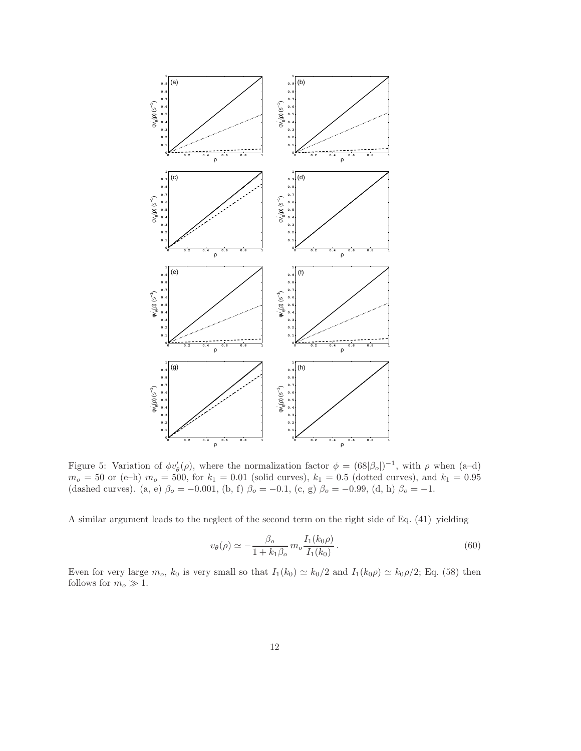

Figure 5: Variation of  $\phi v'_{\theta}(\rho)$ , where the normalization factor  $\phi = (68|\beta_o|)^{-1}$ , with  $\rho$  when (a-d)  $m_o = 50$  or (e–h)  $m_o = 500$ , for  $k_1 = 0.01$  (solid curves),  $k_1 = 0.5$  (dotted curves), and  $k_1 = 0.95$ (dashed curves). (a, e)  $\beta_o = -0.001$ , (b, f)  $\beta_o = -0.1$ , (c, g)  $\beta_o = -0.99$ , (d, h)  $\beta_o = -1$ .

A similar argument leads to the neglect of the second term on the right side of Eq. (41) yielding

$$
v_{\theta}(\rho) \simeq -\frac{\beta_o}{1 + k_1 \beta_o} m_o \frac{I_1(k_0 \rho)}{I_1(k_0)}.
$$
\n(60)

Even for very large  $m_o$ ,  $k_0$  is very small so that  $I_1(k_0) \simeq k_0/2$  and  $I_1(k_0\rho) \simeq k_0\rho/2$ ; Eq. (58) then follows for  $m_o \gg 1$ .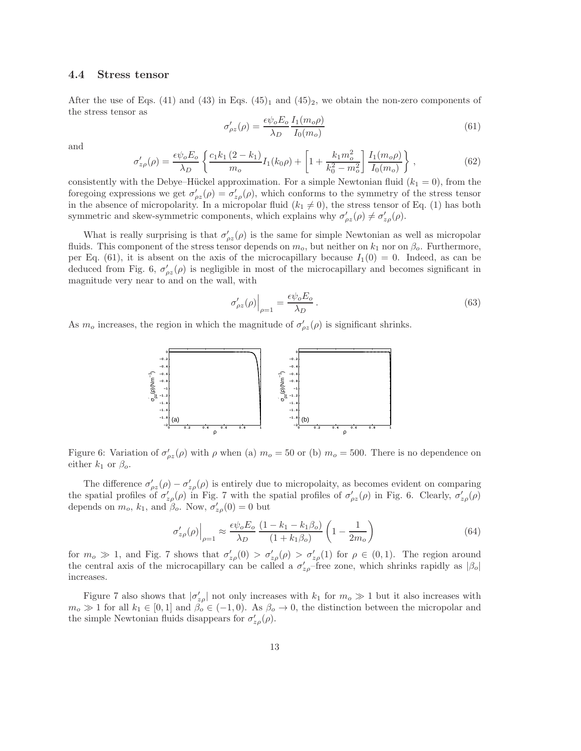#### 4.4 Stress tensor

After the use of Eqs. (41) and (43) in Eqs. (45)<sub>1</sub> and (45)<sub>2</sub>, we obtain the non-zero components of the stress tensor as

$$
\sigma'_{\rho z}(\rho) = \frac{\epsilon \psi_o E_o}{\lambda_D} \frac{I_1(m_o \rho)}{I_0(m_o)}\tag{61}
$$

and

$$
\sigma'_{z\rho}(\rho) = \frac{\epsilon \psi_o E_o}{\lambda_D} \left\{ \frac{c_1 k_1 (2 - k_1)}{m_o} I_1(k_0 \rho) + \left[ 1 + \frac{k_1 m_o^2}{k_0^2 - m_o^2} \right] \frac{I_1(m_o \rho)}{I_0(m_o)} \right\},\tag{62}
$$

consistently with the Debye–Hückel approximation. For a simple Newtonian fluid  $(k_1 = 0)$ , from the foregoing expressions we get  $\sigma'_{\rho z}(\rho) = \sigma'_{z\rho}(\rho)$ , which conforms to the symmetry of the stress tensor in the absence of micropolarity. In a micropolar fluid  $(k_1 \neq 0)$ , the stress tensor of Eq. (1) has both symmetric and skew-symmetric components, which explains why  $\sigma'_{\rho z}(\rho) \neq \sigma'_{z\rho}(\rho)$ .

What is really surprising is that  $\sigma'_{\rho z}(\rho)$  is the same for simple Newtonian as well as micropolar fluids. This component of the stress tensor depends on  $m_o$ , but neither on  $k_1$  nor on  $\beta_o$ . Furthermore, per Eq. (61), it is absent on the axis of the microcapillary because  $I_1(0) = 0$ . Indeed, as can be deduced from Fig. 6,  $\sigma'_{\rho z}(\rho)$  is negligible in most of the microcapillary and becomes significant in magnitude very near to and on the wall, with

$$
\sigma'_{\rho z}(\rho)\Big|_{\rho=1} = \frac{\epsilon \psi_o E_o}{\lambda_D} \,. \tag{63}
$$

As  $m_o$  increases, the region in which the magnitude of  $\sigma'_{\rho z}(\rho)$  is significant shrinks.



Figure 6: Variation of  $\sigma'_{\rho z}(\rho)$  with  $\rho$  when (a)  $m_o = 50$  or (b)  $m_o = 500$ . There is no dependence on either  $k_1$  or  $\beta_o$ .

The difference  $\sigma'_{\rho z}(\rho) - \sigma'_{z\rho}(\rho)$  is entirely due to micropolaity, as becomes evident on comparing the spatial profiles of  $\sigma'_{z\rho}(\rho)$  in Fig. 7 with the spatial profiles of  $\sigma'_{\rho z}(\rho)$  in Fig. 6. Clearly,  $\sigma'_{z\rho}(\rho)$ depends on  $m_o$ ,  $k_1$ , and  $\beta_o$ . Now,  $\sigma'_{z\rho}(0) = 0$  but

$$
\sigma'_{z\rho}(\rho)\Big|_{\rho=1} \approx \frac{\epsilon \psi_o E_o}{\lambda_D} \frac{(1 - k_1 - k_1 \beta_o)}{(1 + k_1 \beta_o)} \left(1 - \frac{1}{2m_o}\right)
$$
\n(64)

for  $m_o \gg 1$ , and Fig. 7 shows that  $\sigma'_{z\rho}(0) > \sigma'_{z\rho}(\rho) > \sigma'_{z\rho}(1)$  for  $\rho \in (0,1)$ . The region around the central axis of the microcapillary can be called a  $\sigma'_{z\rho}$ -free zone, which shrinks rapidly as  $|\beta_{\rho}|$ increases.

Figure 7 also shows that  $|\sigma_{zp}'|$  not only increases with  $k_1$  for  $m_o \gg 1$  but it also increases with  $m_o \gg 1$  for all  $k_1 \in [0,1]$  and  $\beta_o \in (-1,0)$ . As  $\beta_o \to 0$ , the distinction between the micropolar and the simple Newtonian fluids disappears for  $\sigma'_{z\rho}(\rho)$ .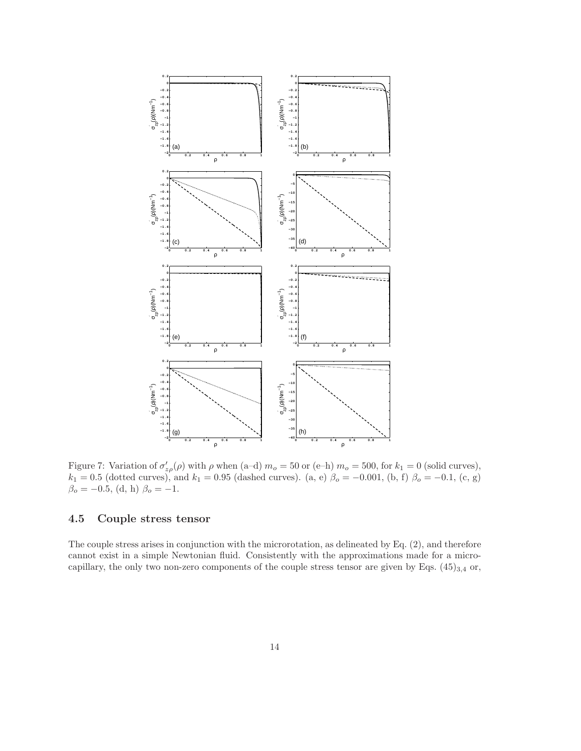

Figure 7: Variation of  $\sigma'_{z\rho}(\rho)$  with  $\rho$  when (a-d)  $m_o = 50$  or (e-h)  $m_o = 500$ , for  $k_1 = 0$  (solid curves),  $k_1 = 0.5$  (dotted curves), and  $k_1 = 0.95$  (dashed curves). (a, e)  $\beta_o = -0.001$ , (b, f)  $\beta_o = -0.1$ , (c, g)  $\beta_o = -0.5$ , (d, h)  $\beta_o = -1$ .

### 4.5 Couple stress tensor

The couple stress arises in conjunction with the microrotation, as delineated by Eq. (2), and therefore cannot exist in a simple Newtonian fluid. Consistently with the approximations made for a microcapillary, the only two non-zero components of the couple stress tensor are given by Eqs.  $(45)_{3,4}$  or,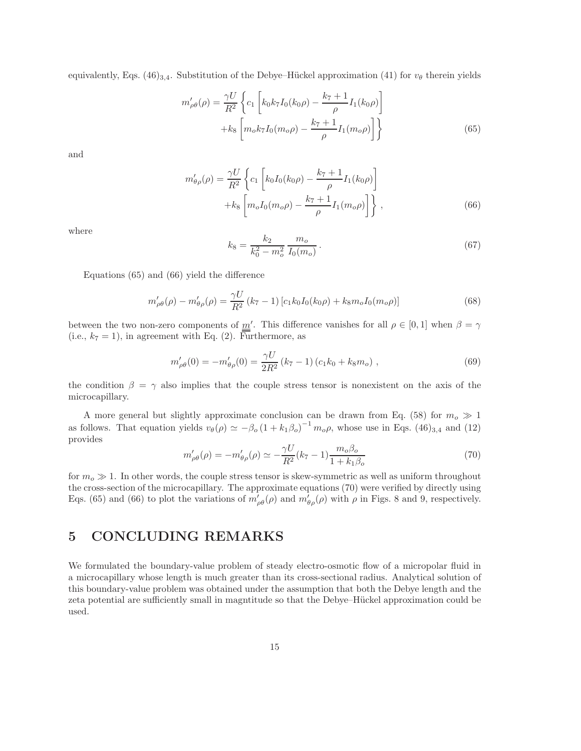equivalently, Eqs.  $(46)_{3,4}$ . Substitution of the Debye–Hückel approximation (41) for  $v_{\theta}$  therein yields

$$
m'_{\rho\theta}(\rho) = \frac{\gamma U}{R^2} \left\{ c_1 \left[ k_0 k_7 I_0(k_0 \rho) - \frac{k_7 + 1}{\rho} I_1(k_0 \rho) \right] + k_8 \left[ m_0 k_7 I_0(m_0 \rho) - \frac{k_7 + 1}{\rho} I_1(m_0 \rho) \right] \right\}
$$
(65)

and

$$
m'_{\theta\rho}(\rho) = \frac{\gamma U}{R^2} \left\{ c_1 \left[ k_0 I_0(k_0 \rho) - \frac{k_7 + 1}{\rho} I_1(k_0 \rho) \right] + k_8 \left[ m_o I_0(m_o \rho) - \frac{k_7 + 1}{\rho} I_1(m_o \rho) \right] \right\},
$$
\n(66)

where

$$
k_8 = \frac{k_2}{k_0^2 - m_o^2} \frac{m_o}{I_0(m_o)}.
$$
\n(67)

Equations (65) and (66) yield the difference

$$
m'_{\rho\theta}(\rho) - m'_{\theta\rho}(\rho) = \frac{\gamma U}{R^2} (k_7 - 1) \left[ c_1 k_0 I_0(k_0 \rho) + k_8 m_o I_0(m_o \rho) \right]
$$
(68)

between the two non-zero components of  $\underline{m}'$ . This difference vanishes for all  $\rho \in [0,1]$  when  $\beta = \gamma$ (i.e.,  $k_7 = 1$ ), in agreement with Eq. (2). Furthermore, as

$$
m'_{\rho\theta}(0) = -m'_{\theta\rho}(0) = \frac{\gamma U}{2R^2} (k_7 - 1) (c_1 k_0 + k_8 m_o) ,
$$
\n(69)

the condition  $\beta = \gamma$  also implies that the couple stress tensor is nonexistent on the axis of the microcapillary.

A more general but slightly approximate conclusion can be drawn from Eq. (58) for  $m_o \gg 1$ as follows. That equation yields  $v_{\theta}(\rho) \simeq -\beta_0 (1 + k_1 \beta_0)^{-1} m_0 \rho$ , whose use in Eqs. (46)<sub>3,4</sub> and (12) provides

$$
m'_{\rho\theta}(\rho) = -m'_{\theta\rho}(\rho) \simeq -\frac{\gamma U}{R^2} (k_7 - 1) \frac{m_o \beta_o}{1 + k_1 \beta_o}
$$
\n(70)

for  $m<sub>o</sub> \gg 1$ . In other words, the couple stress tensor is skew-symmetric as well as uniform throughout the cross-section of the microcapillary. The approximate equations (70) were verified by directly using Eqs. (65) and (66) to plot the variations of  $m'_{\rho\theta}(\rho)$  and  $m'_{\theta\rho}(\rho)$  with  $\rho$  in Figs. 8 and 9, respectively.

# 5 CONCLUDING REMARKS

We formulated the boundary-value problem of steady electro-osmotic flow of a micropolar fluid in a microcapillary whose length is much greater than its cross-sectional radius. Analytical solution of this boundary-value problem was obtained under the assumption that both the Debye length and the zeta potential are sufficiently small in magnitude so that the Debye–Hückel approximation could be used.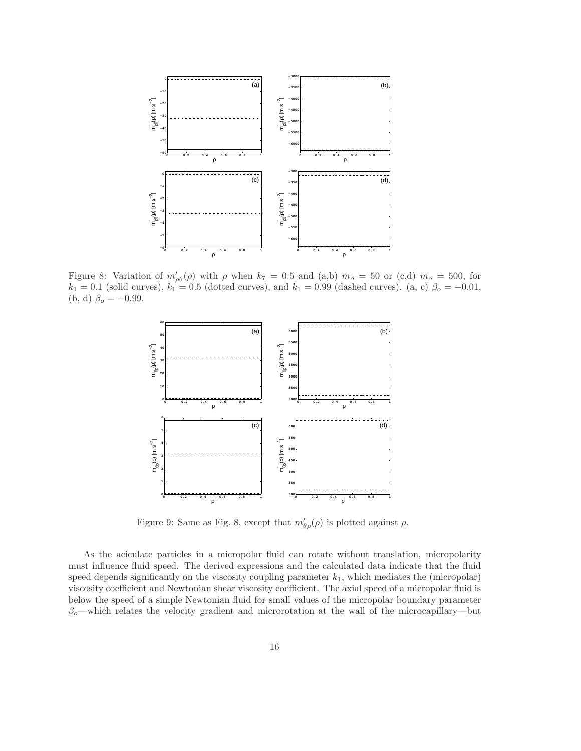

Figure 8: Variation of  $m'_{\rho\theta}(\rho)$  with  $\rho$  when  $k_7 = 0.5$  and (a,b)  $m_o = 50$  or (c,d)  $m_o = 500$ , for  $k_1 = 0.1$  (solid curves),  $k_1 = 0.5$  (dotted curves), and  $k_1 = 0.99$  (dashed curves). (a, c)  $\beta_o = -0.01$ , (b, d)  $\beta_o = -0.99$ .



Figure 9: Same as Fig. 8, except that  $m'_{\theta \rho}(\rho)$  is plotted against  $\rho$ .

As the aciculate particles in a micropolar fluid can rotate without translation, micropolarity must influence fluid speed. The derived expressions and the calculated data indicate that the fluid speed depends significantly on the viscosity coupling parameter  $k_1$ , which mediates the (micropolar) viscosity coefficient and Newtonian shear viscosity coefficient. The axial speed of a micropolar fluid is below the speed of a simple Newtonian fluid for small values of the micropolar boundary parameter  $\beta_o$ —which relates the velocity gradient and microrotation at the wall of the microcapillary—but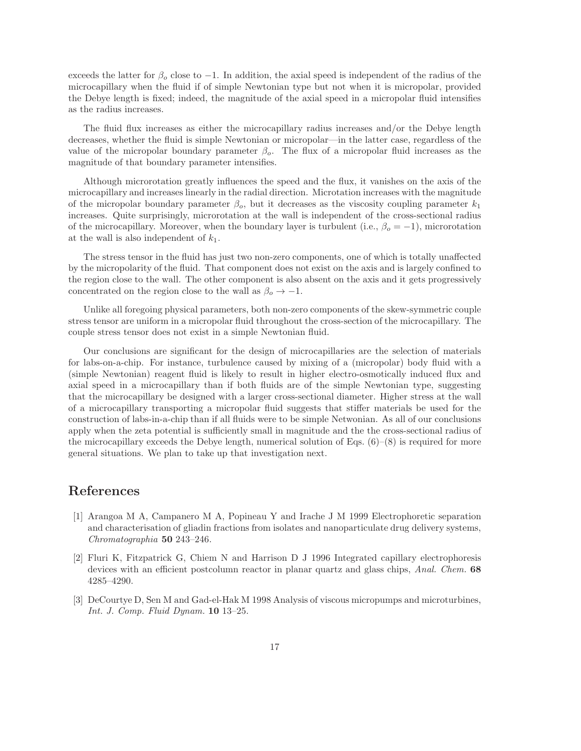exceeds the latter for  $\beta_o$  close to -1. In addition, the axial speed is independent of the radius of the microcapillary when the fluid if of simple Newtonian type but not when it is micropolar, provided the Debye length is fixed; indeed, the magnitude of the axial speed in a micropolar fluid intensifies as the radius increases.

The fluid flux increases as either the microcapillary radius increases and/or the Debye length decreases, whether the fluid is simple Newtonian or micropolar—in the latter case, regardless of the value of the micropolar boundary parameter  $\beta_o$ . The flux of a micropolar fluid increases as the magnitude of that boundary parameter intensifies.

Although microrotation greatly influences the speed and the flux, it vanishes on the axis of the microcapillary and increases linearly in the radial direction. Microtation increases with the magnitude of the micropolar boundary parameter  $\beta_o$ , but it decreases as the viscosity coupling parameter  $k_1$ increases. Quite surprisingly, microrotation at the wall is independent of the cross-sectional radius of the microcapillary. Moreover, when the boundary layer is turbulent (i.e.,  $\beta_o = -1$ ), microrotation at the wall is also independent of  $k_1$ .

The stress tensor in the fluid has just two non-zero components, one of which is totally unaffected by the micropolarity of the fluid. That component does not exist on the axis and is largely confined to the region close to the wall. The other component is also absent on the axis and it gets progressively concentrated on the region close to the wall as  $\beta_o \rightarrow -1$ .

Unlike all foregoing physical parameters, both non-zero components of the skew-symmetric couple stress tensor are uniform in a micropolar fluid throughout the cross-section of the microcapillary. The couple stress tensor does not exist in a simple Newtonian fluid.

Our conclusions are significant for the design of microcapillaries are the selection of materials for labs-on-a-chip. For instance, turbulence caused by mixing of a (micropolar) body fluid with a (simple Newtonian) reagent fluid is likely to result in higher electro-osmotically induced flux and axial speed in a microcapillary than if both fluids are of the simple Newtonian type, suggesting that the microcapillary be designed with a larger cross-sectional diameter. Higher stress at the wall of a microcapillary transporting a micropolar fluid suggests that stiffer materials be used for the construction of labs-in-a-chip than if all fluids were to be simple Netwonian. As all of our conclusions apply when the zeta potential is sufficiently small in magnitude and the the cross-sectional radius of the microcapillary exceeds the Debye length, numerical solution of Eqs.  $(6)-(8)$  is required for more general situations. We plan to take up that investigation next.

## References

- [1] Arangoa M A, Campanero M A, Popineau Y and Irache J M 1999 Electrophoretic separation and characterisation of gliadin fractions from isolates and nanoparticulate drug delivery systems, *Chromatographia* 50 243–246.
- [2] Fluri K, Fitzpatrick G, Chiem N and Harrison D J 1996 Integrated capillary electrophoresis devices with an efficient postcolumn reactor in planar quartz and glass chips, *Anal. Chem.* 68 4285–4290.
- [3] DeCourtye D, Sen M and Gad-el-Hak M 1998 Analysis of viscous micropumps and microturbines, *Int. J. Comp. Fluid Dynam.* 10 13–25.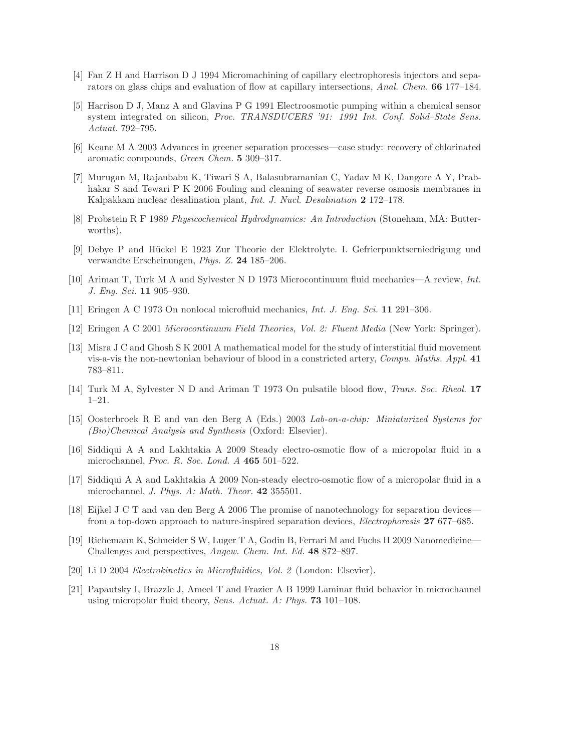- [4] Fan Z H and Harrison D J 1994 Micromachining of capillary electrophoresis injectors and separators on glass chips and evaluation of flow at capillary intersections, *Anal. Chem.* 66 177–184.
- [5] Harrison D J, Manz A and Glavina P G 1991 Electroosmotic pumping within a chemical sensor system integrated on silicon, *Proc. TRANSDUCERS '91: 1991 Int. Conf. Solid–State Sens. Actuat.* 792–795.
- [6] Keane M A 2003 Advances in greener separation processes—case study: recovery of chlorinated aromatic compounds, *Green Chem.* 5 309–317.
- [7] Murugan M, Rajanbabu K, Tiwari S A, Balasubramanian C, Yadav M K, Dangore A Y, Prabhakar S and Tewari P K 2006 Fouling and cleaning of seawater reverse osmosis membranes in Kalpakkam nuclear desalination plant, *Int. J. Nucl. Desalination* 2 172–178.
- [8] Probstein R F 1989 *Physicochemical Hydrodynamics: An Introduction* (Stoneham, MA: Butterworths).
- [9] Debye P and Hückel E 1923 Zur Theorie der Elektrolyte. I. Gefrierpunktserniedrigung und verwandte Erscheinungen, *Phys. Z.* 24 185–206.
- [10] Ariman T, Turk M A and Sylvester N D 1973 Microcontinuum fluid mechanics—A review, *Int. J. Eng. Sci.* 11 905–930.
- [11] Eringen A C 1973 On nonlocal microfluid mechanics, *Int. J. Eng. Sci.* 11 291–306.
- [12] Eringen A C 2001 *Microcontinuum Field Theories, Vol. 2: Fluent Media* (New York: Springer).
- [13] Misra J C and Ghosh S K 2001 A mathematical model for the study of interstitial fluid movement vis-a-vis the non-newtonian behaviour of blood in a constricted artery, *Compu. Maths. Appl.* 41 783–811.
- [14] Turk M A, Sylvester N D and Ariman T 1973 On pulsatile blood flow, *Trans. Soc. Rheol.* 17 1–21.
- [15] Oosterbroek R E and van den Berg A (Eds.) 2003 *Lab-on-a-chip: Miniaturized Systems for (Bio)Chemical Analysis and Synthesis* (Oxford: Elsevier).
- [16] Siddiqui A A and Lakhtakia A 2009 Steady electro-osmotic flow of a micropolar fluid in a microchannel, *Proc. R. Soc. Lond. A* 465 501–522.
- [17] Siddiqui A A and Lakhtakia A 2009 Non-steady electro-osmotic flow of a micropolar fluid in a microchannel, *J. Phys. A: Math. Theor.* 42 355501.
- [18] Eijkel J C T and van den Berg A 2006 The promise of nanotechnology for separation devices from a top-down approach to nature-inspired separation devices, *Electrophoresis* 27 677–685.
- [19] Riehemann K, Schneider S W, Luger T A, Godin B, Ferrari M and Fuchs H 2009 Nanomedicine— Challenges and perspectives, *Angew. Chem. Int. Ed.* 48 872–897.
- [20] Li D 2004 *Electrokinetics in Microfluidics, Vol. 2* (London: Elsevier).
- [21] Papautsky I, Brazzle J, Ameel T and Frazier A B 1999 Laminar fluid behavior in microchannel using micropolar fluid theory, *Sens. Actuat. A: Phys.* 73 101–108.